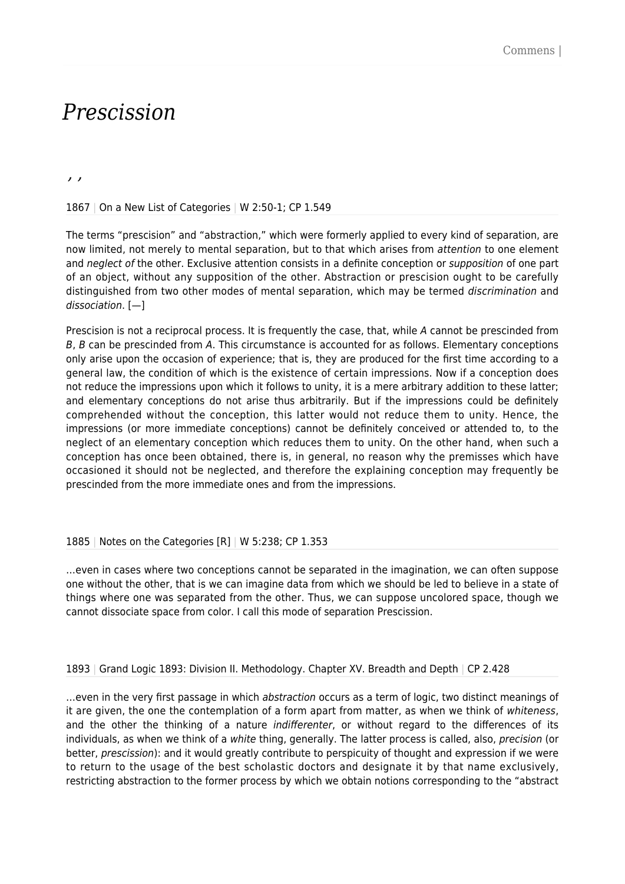# *Prescission*

*, ,*

## 1867 | On a New List of Categories | W 2:50-1; CP 1.549

The terms "prescision" and "abstraction," which were formerly applied to every kind of separation, are now limited, not merely to mental separation, but to that which arises from attention to one element and neglect of the other. Exclusive attention consists in a definite conception or *supposition* of one part of an object, without any supposition of the other. Abstraction or prescision ought to be carefully distinguished from two other modes of mental separation, which may be termed discrimination and dissociation. [—]

Prescision is not a reciprocal process. It is frequently the case, that, while A cannot be prescinded from B, B can be prescinded from A. This circumstance is accounted for as follows. Elementary conceptions only arise upon the occasion of experience; that is, they are produced for the first time according to a general law, the condition of which is the existence of certain impressions. Now if a conception does not reduce the impressions upon which it follows to unity, it is a mere arbitrary addition to these latter; and elementary conceptions do not arise thus arbitrarily. But if the impressions could be definitely comprehended without the conception, this latter would not reduce them to unity. Hence, the impressions (or more immediate conceptions) cannot be definitely conceived or attended to, to the neglect of an elementary conception which reduces them to unity. On the other hand, when such a conception has once been obtained, there is, in general, no reason why the premisses which have occasioned it should not be neglected, and therefore the explaining conception may frequently be prescinded from the more immediate ones and from the impressions.

### 1885 | Notes on the Categories [R] | W 5:238; CP 1.353

…even in cases where two conceptions cannot be separated in the imagination, we can often suppose one without the other, that is we can imagine data from which we should be led to believe in a state of things where one was separated from the other. Thus, we can suppose uncolored space, though we cannot dissociate space from color. I call this mode of separation Prescission.

1893 | Grand Logic 1893: Division II. Methodology. Chapter XV. Breadth and Depth | CP 2.428

...even in the very first passage in which *abstraction* occurs as a term of logic, two distinct meanings of it are given, the one the contemplation of a form apart from matter, as when we think of whiteness, and the other the thinking of a nature *indifferenter*, or without regard to the differences of its individuals, as when we think of a white thing, generally. The latter process is called, also, precision (or better, prescission): and it would greatly contribute to perspicuity of thought and expression if we were to return to the usage of the best scholastic doctors and designate it by that name exclusively, restricting abstraction to the former process by which we obtain notions corresponding to the "abstract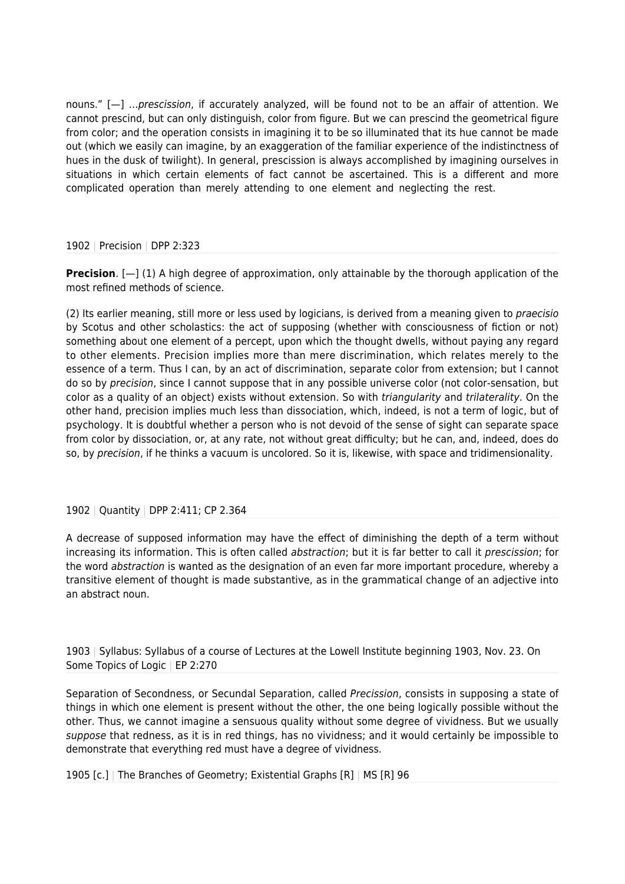nouns." [-] ...prescission, if accurately analyzed, will be found not to be an affair of attention. We cannot prescind, but can only distinguish, color from figure. But we can prescind the geometrical figure from color; and the operation consists in imagining it to be so illuminated that its hue cannot be made out (which we easily can imagine, by an exaggeration of the familiar experience of the indistinctness of hues in the dusk of twilight). In general, prescission is always accomplished by imagining ourselves in situations in which certain elements of fact cannot be ascertained. This is a different and more complicated operation than merely attending to one element and neglecting the rest.

1902 | Precision | DPP 2:323

**Precision**. [-1(1) A high degree of approximation, only attainable by the thorough application of the most refined methods of science.

(2) Its earlier meaning, still more or less used by logicians, is derived from a meaning given to praecisio by Scotus and other scholastics: the act of supposing (whether with consciousness of fiction or not) something about one element of a percept, upon which the thought dwells, without paying any regard to other elements. Precision implies more than mere discrimination, which relates merely to the essence of a term. Thus I can, by an act of discrimination, separate color from extension; but I cannot do so by precision, since I cannot suppose that in any possible universe color (not color-sensation, but color as a quality of an object) exists without extension. So with triangularity and trilaterality. On the other hand, precision implies much less than dissociation, which, indeed, is not a term of logic, but of psychology. It is doubtful whether a person who is not devoid of the sense of sight can separate space from color by dissociation, or, at any rate, not without great difficulty; but he can, and, indeed, does do so, by precision, if he thinks a vacuum is uncolored. So it is, likewise, with space and tridimensionality.

### 1902 | Quantity | DPP 2:411; CP 2.364

A decrease of supposed information may have the effect of diminishing the depth of a term without increasing its information. This is often called abstraction; but it is far better to call it prescission; for the word abstraction is wanted as the designation of an even far more important procedure, whereby a transitive element of thought is made substantive, as in the grammatical change of an adjective into an abstract noun.

1903 | Syllabus: Syllabus of a course of Lectures at the Lowell Institute beginning 1903, Nov. 23. On Some Topics of Logic | EP 2:270

Separation of Secondness, or Secundal Separation, called Precission, consists in supposing a state of things in which one element is present without the other, the one being logically possible without the other. Thus, we cannot imagine a sensuous quality without some degree of vividness. But we usually suppose that redness, as it is in red things, has no vividness; and it would certainly be impossible to demonstrate that everything red must have a degree of vividness.

1905 [c.] | The Branches of Geometry; Existential Graphs [R] | MS [R] 96